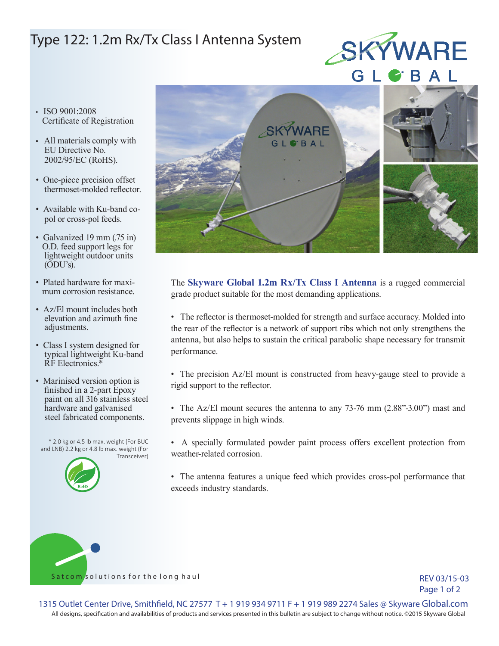## Type 122: 1.2m Rx/Tx Class I Antenna System



- ISO 9001:2008 Certificate of Registration
- All materials comply with EU Directive No. 2002/95/EC (RoHS).
- One-piece precision offset thermoset-molded reflector.
- Available with Ku-band co pol or cross-pol feeds.
- Galvanized 19 mm (.75 in) O.D. feed support legs for lightweight outdoor units (ODU's).
- Plated hardware for maxi mum corrosion resistance.
- Az/El mount includes both elevation and azimuth fine adjustments.
- Class I system designed for typical lightweight Ku-band RF Electronics.\*
- Marinised version option is finished in a 2-part Epoxy paint on all 316 stainless steel hardware and galvanised steel fabricated components.

\* 2.0 kg or 4.5 lb max. weight (For BUC and LNB) 2.2 kg or 4.8 lb max. weight (For Transceiver)





The **Skyware Global 1.2m Rx/Tx Class I Antenna** is a rugged commercial grade product suitable for the most demanding applications.

• The reflector is thermoset-molded for strength and surface accuracy. Molded into the rear of the reflector is a network of support ribs which not only strengthens the antenna, but also helps to sustain the critical parabolic shape necessary for transmit performance.

- The precision Az/El mount is constructed from heavy-gauge steel to provide a rigid support to the reflector.
- The Az/El mount secures the antenna to any 73-76 mm (2.88"-3.00") mast and prevents slippage in high winds.
- A specially formulated powder paint process offers excellent protection from weather-related corrosion.
- The antenna features a unique feed which provides cross-pol performance that exceeds industry standards.

Satcom/solutions for the long haul

REV 03/15-03 Page 1 of 2

All designs, specification and availabilities of products and services presented in this bulletin are subject to change without notice. ©2015 Skyware Global 1315 Outlet Center Drive, Smithfield, NC 27577 T + 1 919 934 9711 F + 1 919 989 2274 Sales @ Skyware Global.com